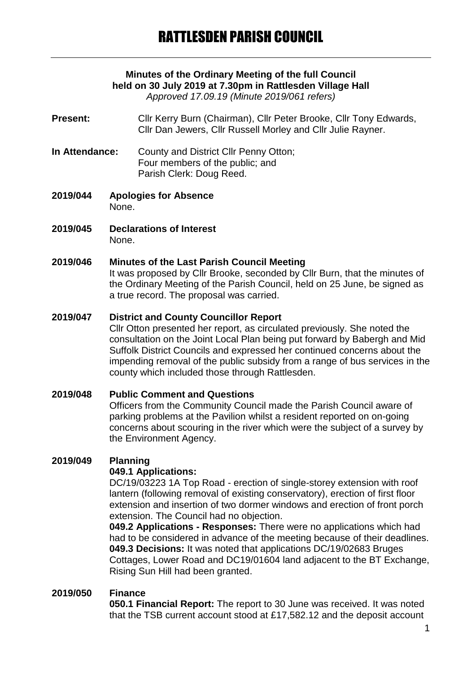# **Minutes of the Ordinary Meeting of the full Council held on 30 July 2019 at 7.30pm in Rattlesden Village Hall**

*Approved 17.09.19 (Minute 2019/061 refers)*

- **Present:** Cllr Kerry Burn (Chairman), Cllr Peter Brooke, Cllr Tony Edwards, Cllr Dan Jewers, Cllr Russell Morley and Cllr Julie Rayner.
- **In Attendance:** County and District Cllr Penny Otton; Four members of the public; and Parish Clerk: Doug Reed.
- **2019/044 Apologies for Absence** None.
- **2019/045 Declarations of Interest** None.

#### **2019/046 Minutes of the Last Parish Council Meeting**

It was proposed by Cllr Brooke, seconded by Cllr Burn, that the minutes of the Ordinary Meeting of the Parish Council, held on 25 June, be signed as a true record. The proposal was carried.

#### **2019/047 District and County Councillor Report**

Cllr Otton presented her report, as circulated previously. She noted the consultation on the Joint Local Plan being put forward by Babergh and Mid Suffolk District Councils and expressed her continued concerns about the impending removal of the public subsidy from a range of bus services in the county which included those through Rattlesden.

# **2019/048 Public Comment and Questions** Officers from the Community Council made the Parish Council aware of parking problems at the Pavilion whilst a resident reported on on-going concerns about scouring in the river which were the subject of a survey by the Environment Agency.

## **2019/049 Planning**

#### **049.1 Applications:**

DC/19/03223 1A Top Road - erection of single-storey extension with roof lantern (following removal of existing conservatory), erection of first floor extension and insertion of two dormer windows and erection of front porch extension. The Council had no objection.

**049.2 Applications - Responses:** There were no applications which had had to be considered in advance of the meeting because of their deadlines. **049.3 Decisions:** It was noted that applications DC/19/02683 Bruges Cottages, Lower Road and DC19/01604 land adjacent to the BT Exchange, Rising Sun Hill had been granted.

#### **2019/050 Finance**

**050.1 Financial Report:** The report to 30 June was received. It was noted that the TSB current account stood at £17,582.12 and the deposit account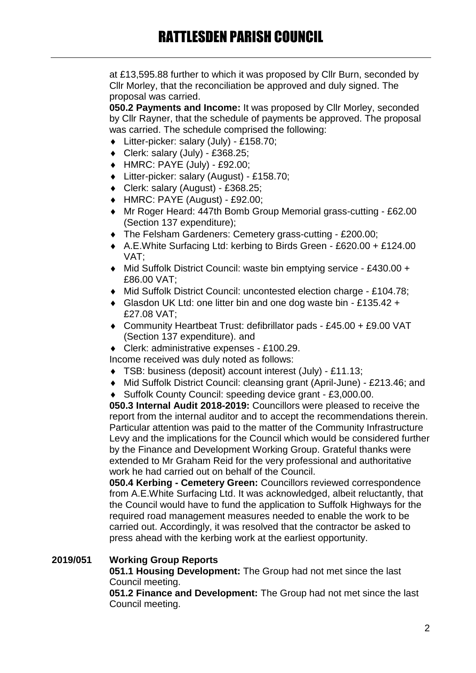at £13,595.88 further to which it was proposed by Cllr Burn, seconded by Cllr Morley, that the reconciliation be approved and duly signed. The proposal was carried.

**050.2 Payments and Income:** It was proposed by Cllr Morley, seconded by Cllr Rayner, that the schedule of payments be approved. The proposal was carried. The schedule comprised the following:

- Litter-picker: salary (July) £158.70;
- $\bullet$  Clerk: salary (July) £368.25;
- HMRC: PAYE (July) £92.00;
- Litter-picker: salary (August) £158.70;
- Clerk: salary (August) £368.25;
- HMRC: PAYE (August) £92.00;
- Mr Roger Heard: 447th Bomb Group Memorial grass-cutting £62.00 (Section 137 expenditure);
- The Felsham Gardeners: Cemetery grass-cutting £200.00;
- A.E.White Surfacing Ltd: kerbing to Birds Green £620.00 + £124.00 VAT;
- ◆ Mid Suffolk District Council: waste bin emptying service £430.00 + £86.00 VAT;
- Mid Suffolk District Council: uncontested election charge £104.78;
- Glasdon UK Ltd: one litter bin and one dog waste bin £135.42 + £27.08 VAT;
- Community Heartbeat Trust: defibrillator pads £45.00 + £9.00 VAT (Section 137 expenditure). and

Clerk: administrative expenses - £100.29.

Income received was duly noted as follows:

- TSB: business (deposit) account interest (July) £11.13;
- Mid Suffolk District Council: cleansing grant (April-June) £213.46; and
- ◆ Suffolk County Council: speeding device grant £3,000.00.

**050.3 Internal Audit 2018-2019:** Councillors were pleased to receive the report from the internal auditor and to accept the recommendations therein. Particular attention was paid to the matter of the Community Infrastructure Levy and the implications for the Council which would be considered further by the Finance and Development Working Group. Grateful thanks were extended to Mr Graham Reid for the very professional and authoritative work he had carried out on behalf of the Council.

**050.4 Kerbing - Cemetery Green:** Councillors reviewed correspondence from A.E.White Surfacing Ltd. It was acknowledged, albeit reluctantly, that the Council would have to fund the application to Suffolk Highways for the required road management measures needed to enable the work to be carried out. Accordingly, it was resolved that the contractor be asked to press ahead with the kerbing work at the earliest opportunity.

## **2019/051 Working Group Reports**

**051.1 Housing Development:** The Group had not met since the last Council meeting.

**051.2 Finance and Development:** The Group had not met since the last Council meeting.